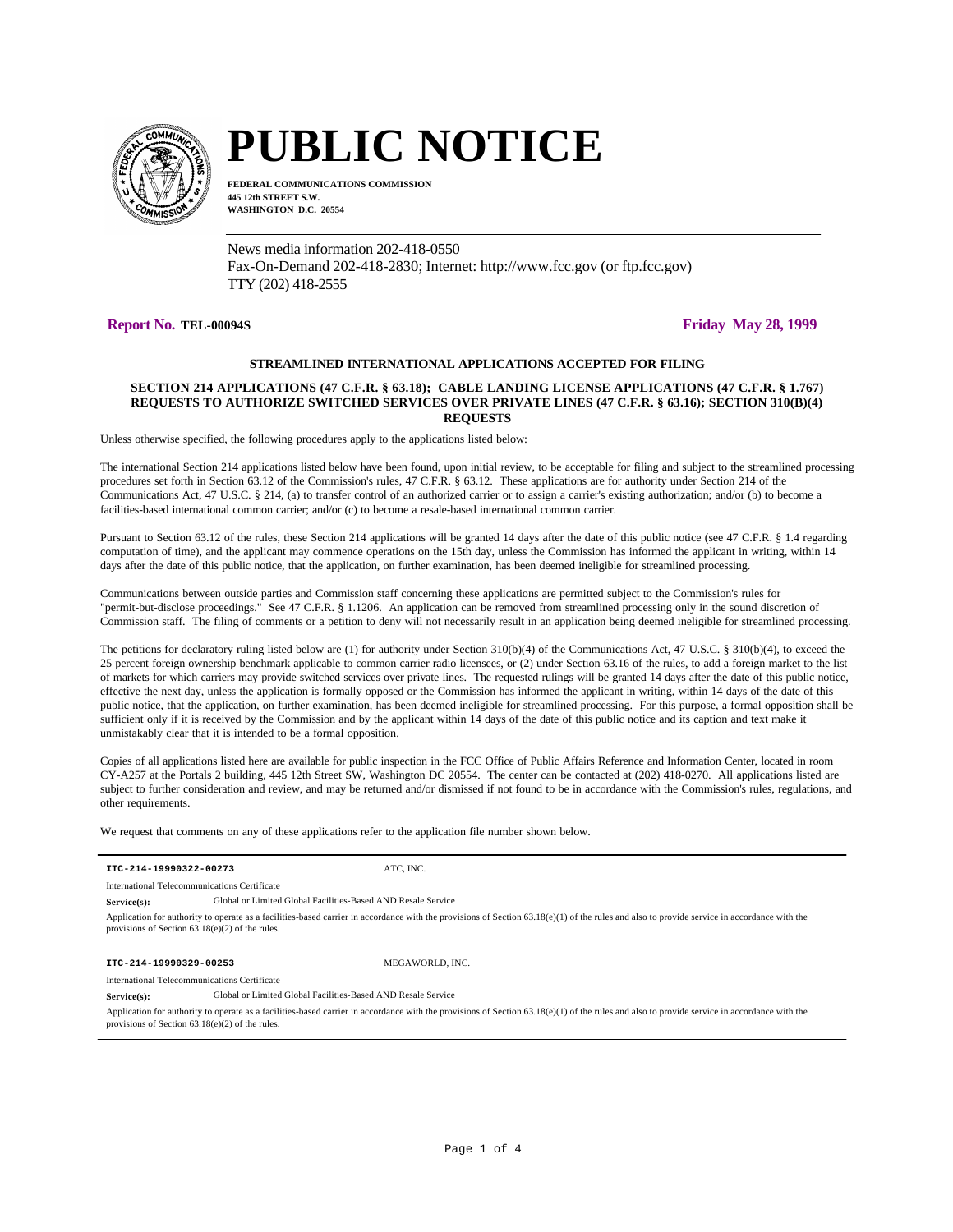

# **PUBLIC NOTICE**

**FEDERAL COMMUNICATIONS COMMISSION 445 12th STREET S.W. WASHINGTON D.C. 20554**

News media information 202-418-0550 Fax-On-Demand 202-418-2830; Internet: http://www.fcc.gov (or ftp.fcc.gov) TTY (202) 418-2555

# **Report No. TEL-00094S Friday May 28, 1999**

# **STREAMLINED INTERNATIONAL APPLICATIONS ACCEPTED FOR FILING**

# **SECTION 214 APPLICATIONS (47 C.F.R. § 63.18); CABLE LANDING LICENSE APPLICATIONS (47 C.F.R. § 1.767) REQUESTS TO AUTHORIZE SWITCHED SERVICES OVER PRIVATE LINES (47 C.F.R. § 63.16); SECTION 310(B)(4) REQUESTS**

Unless otherwise specified, the following procedures apply to the applications listed below:

The international Section 214 applications listed below have been found, upon initial review, to be acceptable for filing and subject to the streamlined processing procedures set forth in Section 63.12 of the Commission's rules, 47 C.F.R. § 63.12. These applications are for authority under Section 214 of the Communications Act, 47 U.S.C. § 214, (a) to transfer control of an authorized carrier or to assign a carrier's existing authorization; and/or (b) to become a facilities-based international common carrier; and/or (c) to become a resale-based international common carrier.

Pursuant to Section 63.12 of the rules, these Section 214 applications will be granted 14 days after the date of this public notice (see 47 C.F.R. § 1.4 regarding computation of time), and the applicant may commence operations on the 15th day, unless the Commission has informed the applicant in writing, within 14 days after the date of this public notice, that the application, on further examination, has been deemed ineligible for streamlined processing.

Communications between outside parties and Commission staff concerning these applications are permitted subject to the Commission's rules for "permit-but-disclose proceedings." See 47 C.F.R. § 1.1206. An application can be removed from streamlined processing only in the sound discretion of Commission staff. The filing of comments or a petition to deny will not necessarily result in an application being deemed ineligible for streamlined processing.

The petitions for declaratory ruling listed below are (1) for authority under Section 310(b)(4) of the Communications Act, 47 U.S.C. § 310(b)(4), to exceed the 25 percent foreign ownership benchmark applicable to common carrier radio licensees, or (2) under Section 63.16 of the rules, to add a foreign market to the list of markets for which carriers may provide switched services over private lines. The requested rulings will be granted 14 days after the date of this public notice, effective the next day, unless the application is formally opposed or the Commission has informed the applicant in writing, within 14 days of the date of this public notice, that the application, on further examination, has been deemed ineligible for streamlined processing. For this purpose, a formal opposition shall be sufficient only if it is received by the Commission and by the applicant within 14 days of the date of this public notice and its caption and text make it unmistakably clear that it is intended to be a formal opposition.

Copies of all applications listed here are available for public inspection in the FCC Office of Public Affairs Reference and Information Center, located in room CY-A257 at the Portals 2 building, 445 12th Street SW, Washington DC 20554. The center can be contacted at (202) 418-0270. All applications listed are subject to further consideration and review, and may be returned and/or dismissed if not found to be in accordance with the Commission's rules, regulations, and other requirements.

We request that comments on any of these applications refer to the application file number shown below.

| ITC-214-19990322-00273                                                                                                                                                                                                                             |                                                              | ATC. INC.       |  |
|----------------------------------------------------------------------------------------------------------------------------------------------------------------------------------------------------------------------------------------------------|--------------------------------------------------------------|-----------------|--|
| International Telecommunications Certificate                                                                                                                                                                                                       |                                                              |                 |  |
| $Service(s)$ :                                                                                                                                                                                                                                     | Global or Limited Global Facilities-Based AND Resale Service |                 |  |
| Application for authority to operate as a facilities-based carrier in accordance with the provisions of Section $63.18(e)(1)$ of the rules and also to provide service in accordance with the<br>provisions of Section $63.18(e)(2)$ of the rules. |                                                              |                 |  |
|                                                                                                                                                                                                                                                    |                                                              |                 |  |
| ITC-214-19990329-00253                                                                                                                                                                                                                             |                                                              | MEGAWORLD, INC. |  |
| International Telecommunications Certificate                                                                                                                                                                                                       |                                                              |                 |  |
| Service(s):                                                                                                                                                                                                                                        | Global or Limited Global Facilities-Based AND Resale Service |                 |  |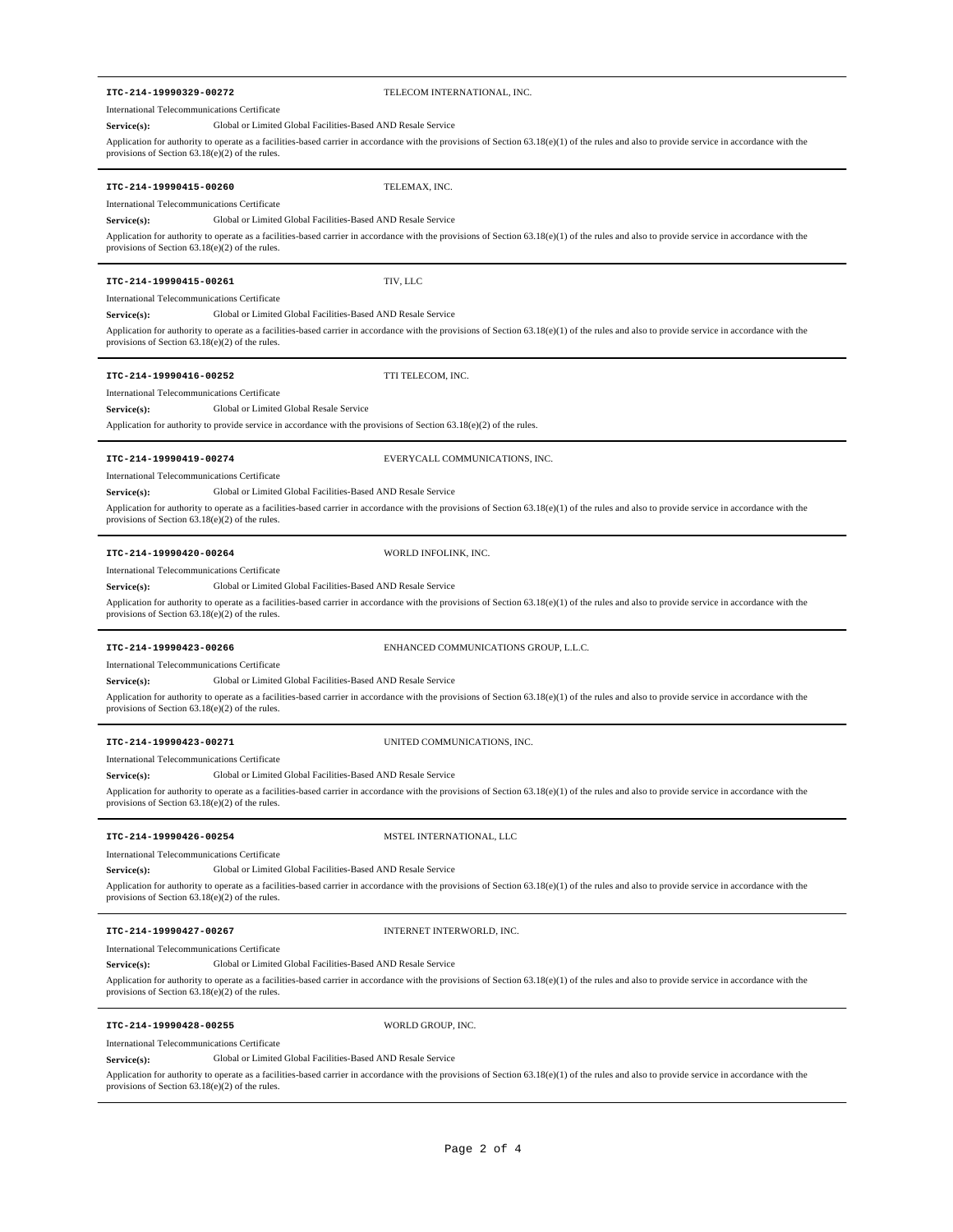# **ITC-214-19990329-00272** TELECOM INTERNATIONAL, INC. Application for authority to operate as a facilities-based carrier in accordance with the provisions of Section 63.18(e)(1) of the rules and also to provide service in accordance with the provisions of Section  $63.18(e)(2)$  of the rules. International Telecommunications Certificate **Service(s):** Global or Limited Global Facilities-Based AND Resale Service **ITC-214-19990415-00260** TELEMAX, INC. Application for authority to operate as a facilities-based carrier in accordance with the provisions of Section 63.18(e)(1) of the rules and also to provide service in accordance with the provisions of Section 63.18(e)(2) of the rules. International Telecommunications Certificate **Service(s):** Global or Limited Global Facilities-Based AND Resale Service **ITC-214-19990415-00261** TIV, LLC Application for authority to operate as a facilities-based carrier in accordance with the provisions of Section 63.18(e)(1) of the rules and also to provide service in accordance with the provisions of Section 63.18(e)(2) of the rules. International Telecommunications Certificate **Service(s):** Global or Limited Global Facilities-Based AND Resale Service **ITC-214-19990416-00252** TTI TELECOM, INC. Application for authority to provide service in accordance with the provisions of Section 63.18(e)(2) of the rules. International Telecommunications Certificate **Service(s):** Global or Limited Global Resale Service **ITC-214-19990419-00274** EVERYCALL COMMUNICATIONS, INC. Application for authority to operate as a facilities-based carrier in accordance with the provisions of Section 63.18(e)(1) of the rules and also to provide service in accordance with the provisions of Section 63.18(e)(2) of the rules. International Telecommunications Certificate Global or Limited Global Facilities-Based AND Resale Service **ITC-214-19990420-00264** WORLD INFOLINK, INC. Application for authority to operate as a facilities-based carrier in accordance with the provisions of Section 63.18(e)(1) of the rules and also to provide service in accordance with the provisions of Section 63.18(e)(2) of the rules. International Telecommunications Certificate Service(s): Global or Limited Global Facilities-Based AND Resale Service **ITC-214-19990423-00266** ENHANCED COMMUNICATIONS GROUP, L.L.C. Application for authority to operate as a facilities-based carrier in accordance with the provisions of Section 63.18(e)(1) of the rules and also to provide service in accordance with the provisions of Section 63.18(e)(2) of the rules. International Telecommunications Certificate Global or Limited Global Facilities-Based AND Resale Service **ITC-214-19990423-00271** UNITED COMMUNICATIONS, INC. Application for authority to operate as a facilities-based carrier in accordance with the provisions of Section 63.18(e)(1) of the rules and also to provide service in accordance with the provisions of Section 63.18(e)(2) of the rules. International Telecommunications Certificate **Service(s):** Global or Limited Global Facilities-Based AND Resale Service **ITC-214-19990426-00254** MSTEL INTERNATIONAL, LLC Application for authority to operate as a facilities-based carrier in accordance with the provisions of Section 63.18(e)(1) of the rules and also to provide service in accordance with the provisions of Section 63.18(e)(2) of the rules. International Telecommunications Certificate **Service(s):** Global or Limited Global Facilities-Based AND Resale Service **ITC-214-19990427-00267** INTERNET INTERWORLD, INC. Application for authority to operate as a facilities-based carrier in accordance with the provisions of Section 63.18(e)(1) of the rules and also to provide service in accordance with the provisions of Section 63.18(e)(2) of the rules. International Telecommunications Certificate **Service(s):** Global or Limited Global Facilities-Based AND Resale Service **ITC-214-19990428-00255** WORLD GROUP, INC. International Telecommunications Certificate Global or Limited Global Facilities-Based AND Resale Service

Application for authority to operate as a facilities-based carrier in accordance with the provisions of Section 63.18(e)(1) of the rules and also to provide service in accordance with the provisions of Section 63.18(e)(2) of the rules.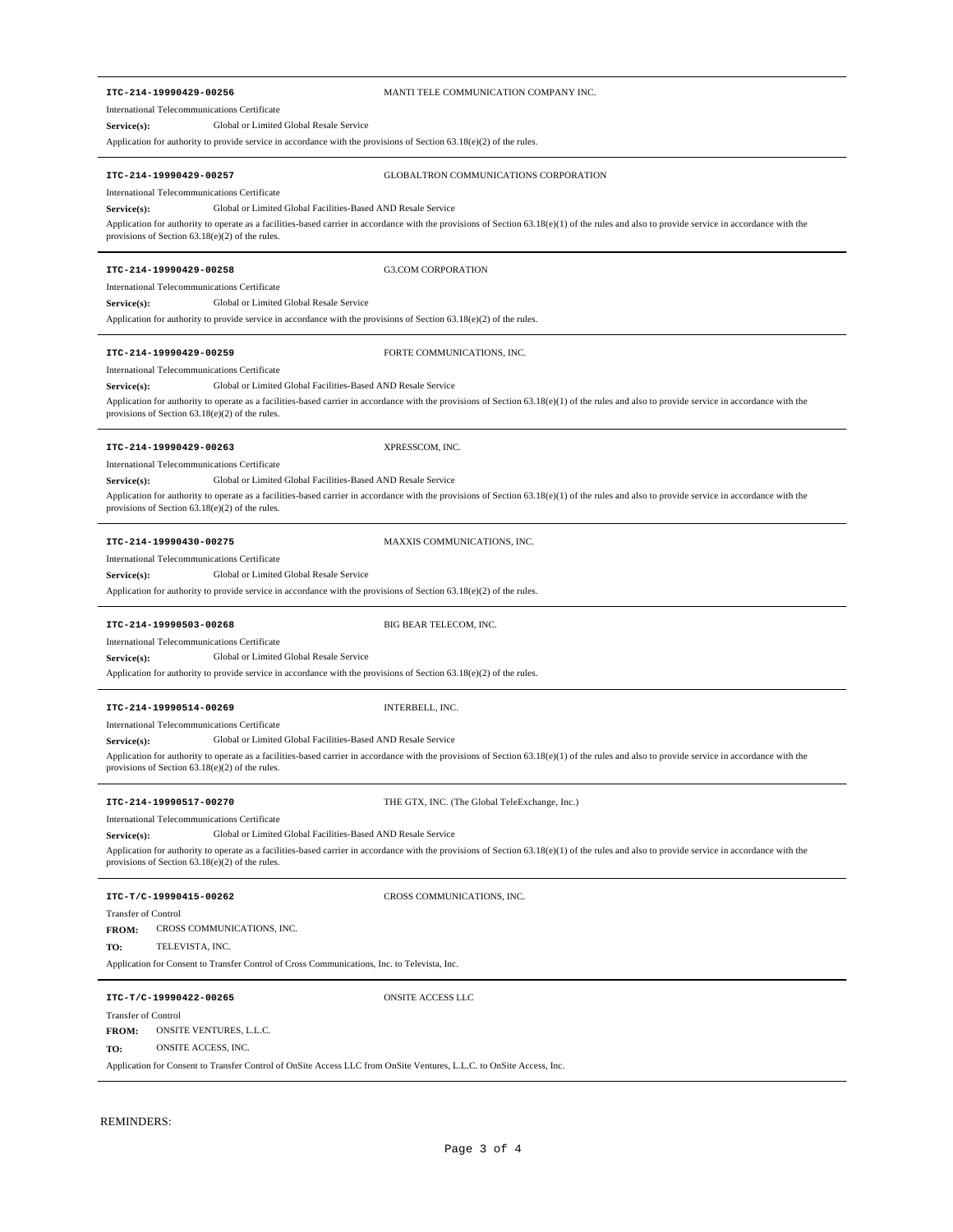### **ITC-214-19990429-00256** MANTI TELE COMMUNICATION COMPANY INC.

International Telecommunications Certificate

**Service(s):** Global or Limited Global Resale Service

Application for authority to provide service in accordance with the provisions of Section 63.18(e)(2) of the rules.

**ITC-214-19990429-00257** GLOBALTRON COMMUNICATIONS CORPORATION

International Telecommunications Certificate

Service(s): Global or Limited Global Facilities-Based AND Resale Service

Application for authority to operate as a facilities-based carrier in accordance with the provisions of Section 63.18(e)(1) of the rules and also to provide service in accordance with the provisions of Section 63.18(e)(2) of the rules.

### **ITC-214-19990429-00258** G3.COM CORPORATION

International Telecommunications Certificate

**Service(s):** Global or Limited Global Resale Service

Application for authority to provide service in accordance with the provisions of Section 63.18(e)(2) of the rules.

### **ITC-214-19990429-00259** FORTE COMMUNICATIONS, INC.

International Telecommunications Certificate

Application for authority to operate as a facilities-based carrier in accordance with the provisions of Section 63.18(e)(1) of the rules and also to provide service in accordance with the provisions of Section 63.18(e)(2) of the rules. Service(s): Global or Limited Global Facilities-Based AND Resale Service

### **ITC-214-19990429-00263** XPRESSCOM, INC.

International Telecommunications Certificate

Service(s): Global or Limited Global Facilities-Based AND Resale Service

Application for authority to operate as a facilities-based carrier in accordance with the provisions of Section 63.18(e)(1) of the rules and also to provide service in accordance with the provisions of Section 63.18(e)(2) of the rules.

**MAXXIS COMMUNICATIONS, INC.** 

| ITC-214-19990430-00275 |  |
|------------------------|--|
|------------------------|--|

International Telecommunications Certificate

**Service(s):** Global or Limited Global Resale Service

Application for authority to provide service in accordance with the provisions of Section 63.18(e)(2) of the rules.

### **ITC-214-19990503-00268** BIG BEAR TELECOM, INC.

International Telecommunications Certificate

**Service(s):** Global or Limited Global Resale Service

Application for authority to provide service in accordance with the provisions of Section 63.18(e)(2) of the rules.

### **ITC-214-19990514-00269** INTERBELL, INC.

International Telecommunications Certificate

Service(s): Global or Limited Global Facilities-Based AND Resale Service

Application for authority to operate as a facilities-based carrier in accordance with the provisions of Section 63.18(e)(1) of the rules and also to provide service in accordance with the provisions of Section 63.18(e)(2) of the rules.

**ITC-214-19990517-00270** THE GTX, INC. (The Global TeleExchange, Inc.)

International Telecommunications Certificate

#### Service(s): Global or Limited Global Facilities-Based AND Resale Service

Application for authority to operate as a facilities-based carrier in accordance with the provisions of Section 63.18(e)(1) of the rules and also to provide service in accordance with the provisions of Section 63.18(e)(2) of the rules.

**ITC-T/C-19990415-00262** CROSS COMMUNICATIONS, INC.

# Transfer of Control

CROSS COMMUNICATIONS, INC. **FROM:**

**TO:** TELEVISTA, INC.

Application for Consent to Transfer Control of Cross Communications, Inc. to Televista, Inc.

#### **ITC-T/C-19990422-00265** ONSITE ACCESS LLC

#### Transfer of Control

ONSITE VENTURES, L.L.C. **FROM:**

**TO:** ONSITE ACCESS, INC.

Application for Consent to Transfer Control of OnSite Access LLC from OnSite Ventures, L.L.C. to OnSite Access, Inc.